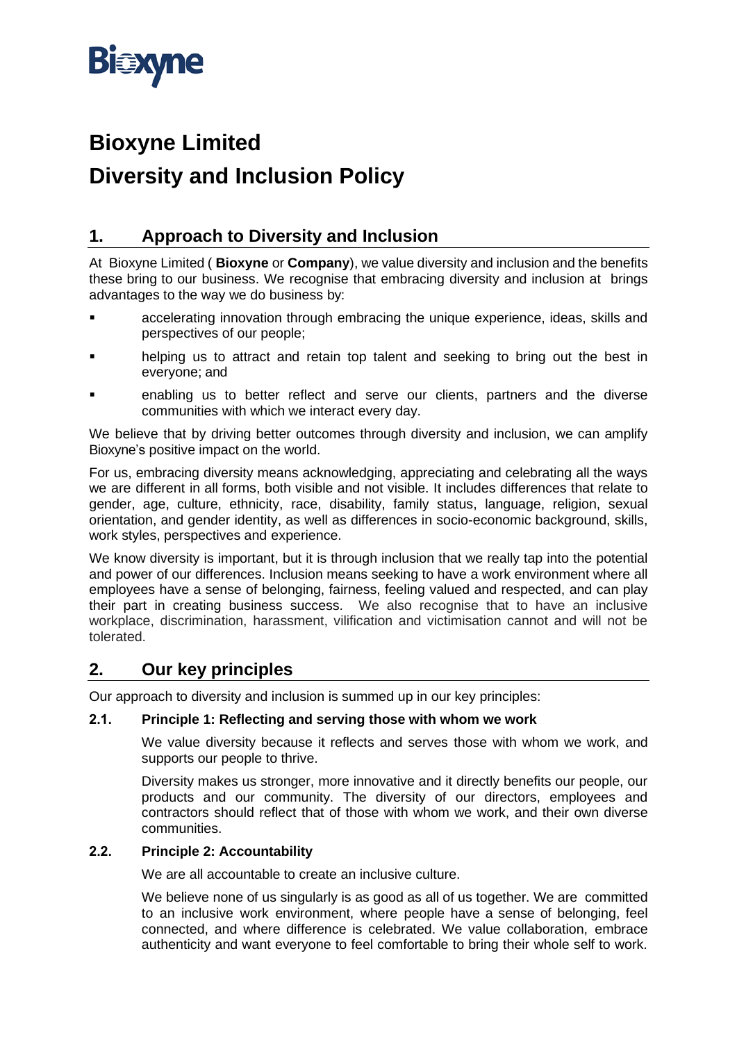

# **Bioxyne Limited Diversity and Inclusion Policy**

# **1. Approach to Diversity and Inclusion**

At Bioxyne Limited ( **Bioxyne** or **Company**), we value diversity and inclusion and the benefits these bring to our business. We recognise that embracing diversity and inclusion at brings advantages to the way we do business by:

- accelerating innovation through embracing the unique experience, ideas, skills and perspectives of our people;
- helping us to attract and retain top talent and seeking to bring out the best in everyone; and
- enabling us to better reflect and serve our clients, partners and the diverse communities with which we interact every day.

We believe that by driving better outcomes through diversity and inclusion, we can amplify Bioxyne's positive impact on the world.

For us, embracing diversity means acknowledging, appreciating and celebrating all the ways we are different in all forms, both visible and not visible. It includes differences that relate to gender, age, culture, ethnicity, race, disability, family status, language, religion, sexual orientation, and gender identity, as well as differences in socio-economic background, skills, work styles, perspectives and experience.

We know diversity is important, but it is through inclusion that we really tap into the potential and power of our differences. Inclusion means seeking to have a work environment where all employees have a sense of belonging, fairness, feeling valued and respected, and can play their part in creating business success. We also recognise that to have an inclusive workplace, discrimination, harassment, vilification and victimisation cannot and will not be tolerated.

## **2. Our key principles**

Our approach to diversity and inclusion is summed up in our key principles:

## **2.1. Principle 1: Reflecting and serving those with whom we work**

We value diversity because it reflects and serves those with whom we work, and supports our people to thrive.

Diversity makes us stronger, more innovative and it directly benefits our people, our products and our community. The diversity of our directors, employees and contractors should reflect that of those with whom we work, and their own diverse communities.

## **2.2. Principle 2: Accountability**

We are all accountable to create an inclusive culture.

We believe none of us singularly is as good as all of us together. We are committed to an inclusive work environment, where people have a sense of belonging, feel connected, and where difference is celebrated. We value collaboration, embrace authenticity and want everyone to feel comfortable to bring their whole self to work.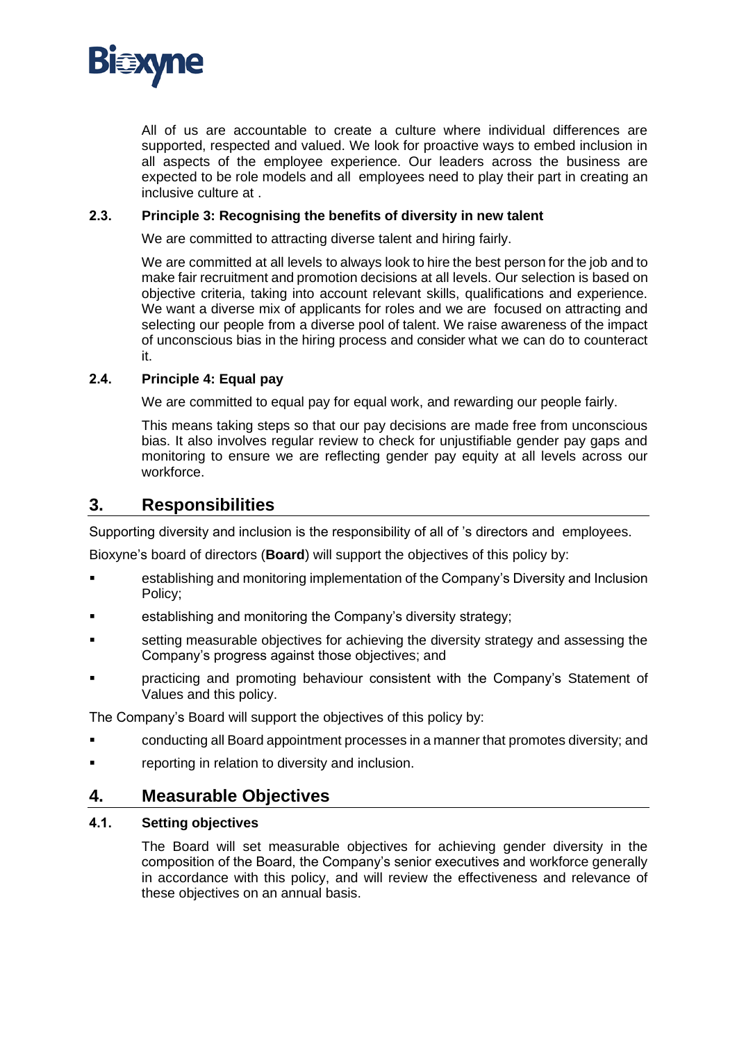

All of us are accountable to create a culture where individual differences are supported, respected and valued. We look for proactive ways to embed inclusion in all aspects of the employee experience. Our leaders across the business are expected to be role models and all employees need to play their part in creating an inclusive culture at .

#### **2.3. Principle 3: Recognising the benefits of diversity in new talent**

We are committed to attracting diverse talent and hiring fairly.

We are committed at all levels to always look to hire the best person for the job and to make fair recruitment and promotion decisions at all levels. Our selection is based on objective criteria, taking into account relevant skills, qualifications and experience. We want a diverse mix of applicants for roles and we are focused on attracting and selecting our people from a diverse pool of talent. We raise awareness of the impact of unconscious bias in the hiring process and consider what we can do to counteract it.

## **2.4. Principle 4: Equal pay**

We are committed to equal pay for equal work, and rewarding our people fairly.

This means taking steps so that our pay decisions are made free from unconscious bias. It also involves regular review to check for unjustifiable gender pay gaps and monitoring to ensure we are reflecting gender pay equity at all levels across our workforce.

## **3. Responsibilities**

Supporting diversity and inclusion is the responsibility of all of 's directors and employees.

Bioxyne's board of directors (**Board**) will support the objectives of this policy by:

- establishing and monitoring implementation of the Company's Diversity and Inclusion Policy;
- establishing and monitoring the Company's diversity strategy;
- setting measurable objectives for achieving the diversity strategy and assessing the Company's progress against those objectives; and
- practicing and promoting behaviour consistent with the Company's Statement of Values and this policy.

The Company's Board will support the objectives of this policy by:

- conducting all Board appointment processes in a manner that promotes diversity; and
- reporting in relation to diversity and inclusion.

## **4. Measurable Objectives**

#### **4.1. Setting objectives**

The Board will set measurable objectives for achieving gender diversity in the composition of the Board, the Company's senior executives and workforce generally in accordance with this policy, and will review the effectiveness and relevance of these objectives on an annual basis.